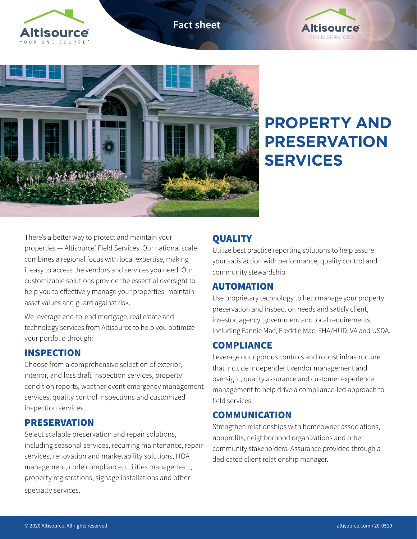

**Fact sheet**





# **PROPERTY AND PRESERVATION SERVICES**

There's a better way to protect and maintain your properties — Altisource® Field Services. Our national scale combines a regional focus with local expertise, making it easy to access the vendors and services you need. Our customizable solutions provide the essential oversight to help you to effectively manage your properties, maintain asset values and guard against risk.

We leverage end-to-end mortgage, real estate and technology services from Altisource to help you optimize your portfolio through:

## INSPECTION

Choose from a comprehensive selection of exterior, interior, and loss draft inspection services, property condition reports, weather event emergency management services, quality control inspections and customized inspection services.

#### PRESERVATION

Select scalable preservation and repair solutions, including seasonal services, recurring maintenance, repair services, renovation and marketability solutions, HOA management, code compliance, utilities management, property registrations, signage installations and other specialty services.

# **QUALITY**

Utilize best practice reporting solutions to help assure your satisfaction with performance, quality control and community stewardship.

#### AUTOMATION

Use proprietary technology to help manage your property preservation and inspection needs and satisfy client, investor, agency, government and local requirements, including Fannie Mae, Freddie Mac, FHA/HUD, VA and USDA.

## **COMPLIANCE**

Leverage our rigorous controls and robust infrastructure that include independent vendor management and oversight, quality assurance and customer experience management to help drive a compliance-led approach to field services.

#### **COMMUNICATION**

Strengthen relationships with homeowner associations, nonprofits, neighborhood organizations and other community stakeholders. Assurance provided through a dedicated client relationship manager.